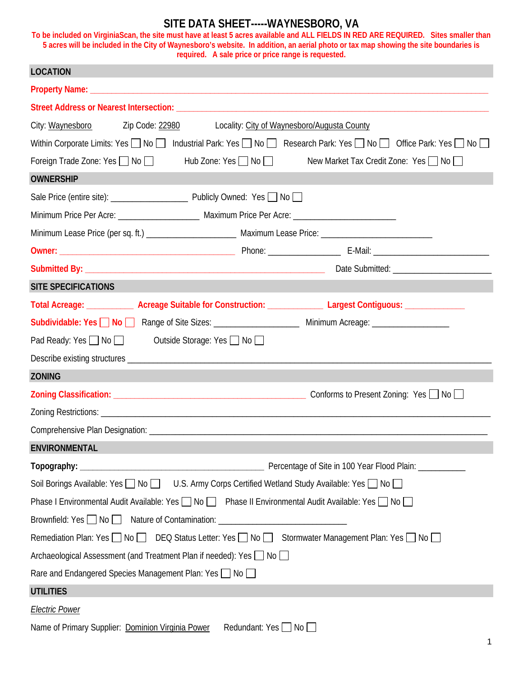## **SITE DATA SHEET-----WAYNESBORO, VA**

**To be included on VirginiaScan, the site must have at least 5 acres available and ALL FIELDS IN RED ARE REQUIRED. Sites smaller than 5 acres will be included in the City of Waynesboro's website. In addition, an aerial photo or tax map showing the site boundaries is required. A sale price or price range is requested.**

| <b>LOCATION</b>                                                                                                                                           |                                                                                                                |                                                                                                               |  |  |
|-----------------------------------------------------------------------------------------------------------------------------------------------------------|----------------------------------------------------------------------------------------------------------------|---------------------------------------------------------------------------------------------------------------|--|--|
|                                                                                                                                                           |                                                                                                                |                                                                                                               |  |  |
|                                                                                                                                                           |                                                                                                                |                                                                                                               |  |  |
| City: Waynesboro<br>Zip Code: 22980<br>Locality: City of Waynesboro/Augusta County                                                                        |                                                                                                                |                                                                                                               |  |  |
| Within Corporate Limits: Yes $\Box$ No $\Box$ Industrial Park: Yes $\Box$ No $\Box$ Research Park: Yes $\Box$ No $\Box$ Office Park: Yes $\Box$ No $\Box$ |                                                                                                                |                                                                                                               |  |  |
| Foreign Trade Zone: Yes   No   Hub Zone: Yes   No   No                                                                                                    |                                                                                                                | New Market Tax Credit Zone: Yes   No                                                                          |  |  |
| <b>OWNERSHIP</b>                                                                                                                                          |                                                                                                                |                                                                                                               |  |  |
|                                                                                                                                                           |                                                                                                                |                                                                                                               |  |  |
|                                                                                                                                                           | Minimum Price Per Acre: ________________________ Maximum Price Per Acre: ___________________________           |                                                                                                               |  |  |
|                                                                                                                                                           | Minimum Lease Price (per sq. ft.) _________________________ Maximum Lease Price: _____________________________ |                                                                                                               |  |  |
|                                                                                                                                                           |                                                                                                                |                                                                                                               |  |  |
|                                                                                                                                                           |                                                                                                                |                                                                                                               |  |  |
| <b>SITE SPECIFICATIONS</b>                                                                                                                                |                                                                                                                |                                                                                                               |  |  |
|                                                                                                                                                           |                                                                                                                | Total Acreage: ____________ Acreage Suitable for Construction: _____________ Largest Contiguous: ____________ |  |  |
| Subdividable: Yes No Range of Site Sizes: ______________________ Minimum Acreage: _________________                                                       |                                                                                                                |                                                                                                               |  |  |
| Pad Ready: Yes $\Box$ No $\Box$                                                                                                                           | Outside Storage: Yes □ No                                                                                      |                                                                                                               |  |  |
|                                                                                                                                                           |                                                                                                                |                                                                                                               |  |  |
| <b>ZONING</b>                                                                                                                                             |                                                                                                                |                                                                                                               |  |  |
|                                                                                                                                                           |                                                                                                                |                                                                                                               |  |  |
|                                                                                                                                                           |                                                                                                                |                                                                                                               |  |  |
|                                                                                                                                                           |                                                                                                                |                                                                                                               |  |  |
| <b>ENVIRONMENTAL</b>                                                                                                                                      |                                                                                                                |                                                                                                               |  |  |
|                                                                                                                                                           |                                                                                                                |                                                                                                               |  |  |
|                                                                                                                                                           |                                                                                                                |                                                                                                               |  |  |
| Phase I Environmental Audit Available: Yes   No   Phase II Environmental Audit Available: Yes   No                                                        |                                                                                                                |                                                                                                               |  |  |
|                                                                                                                                                           |                                                                                                                |                                                                                                               |  |  |
| Remediation Plan: Yes   No   DEQ Status Letter: Yes   No   Stormwater Management Plan: Yes   No                                                           |                                                                                                                |                                                                                                               |  |  |
| Archaeological Assessment (and Treatment Plan if needed): Yes □ No                                                                                        |                                                                                                                |                                                                                                               |  |  |
| Rare and Endangered Species Management Plan: Yes □ No                                                                                                     |                                                                                                                |                                                                                                               |  |  |
| <b>UTILITIES</b>                                                                                                                                          |                                                                                                                |                                                                                                               |  |  |
| <b>Electric Power</b>                                                                                                                                     |                                                                                                                |                                                                                                               |  |  |
| Name of Primary Supplier: Dominion Virginia Power                                                                                                         | Redundant: Yes   No                                                                                            |                                                                                                               |  |  |